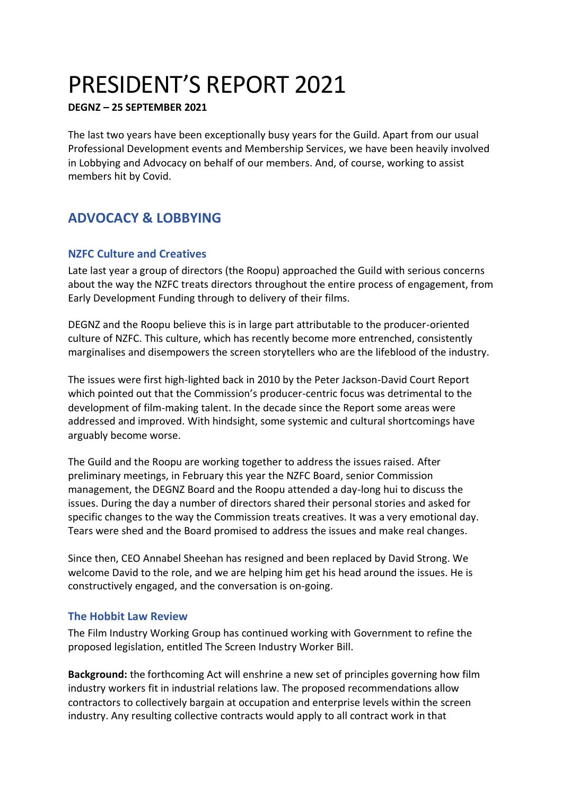# PRESIDENT'S REPORT 2021

#### **DEGNZ – 25 SEPTEMBER 2021**

The last two years have been exceptionally busy years for the Guild. Apart from our usual Professional Development events and Membership Services, we have been heavily involved in Lobbying and Advocacy on behalf of our members. And, of course, working to assist members hit by Covid.

# **ADVOCACY & LOBBYING**

# **NZFC Culture and Creatives**

Late last year a group of directors (the Roopu) approached the Guild with serious concerns about the way the NZFC treats directors throughout the entire process of engagement, from Early Development Funding through to delivery of their films.

DEGNZ and the Roopu believe this is in large part attributable to the producer-oriented culture of NZFC. This culture, which has recently become more entrenched, consistently marginalises and disempowers the screen storytellers who are the lifeblood of the industry.

The issues were first high-lighted back in 2010 by the Peter Jackson-David Court Report which pointed out that the Commission's producer-centric focus was detrimental to the development of film-making talent. In the decade since the Report some areas were addressed and improved. With hindsight, some systemic and cultural shortcomings have arguably become worse.

The Guild and the Roopu are working together to address the issues raised. After preliminary meetings, in February this year the NZFC Board, senior Commission management, the DEGNZ Board and the Roopu attended a day-long hui to discuss the issues. During the day a number of directors shared their personal stories and asked for specific changes to the way the Commission treats creatives. It was a very emotional day. Tears were shed and the Board promised to address the issues and make real changes.

Since then, CEO Annabel Sheehan has resigned and been replaced by David Strong. We welcome David to the role, and we are helping him get his head around the issues. He is constructively engaged, and the conversation is on-going.

#### **The Hobbit Law Review**

The Film Industry Working Group has continued working with Government to refine the proposed legislation, entitled The Screen Industry Worker Bill.

**Background:** the forthcoming Act will enshrine a new set of principles governing how film industry workers fit in industrial relations law. The proposed recommendations allow contractors to collectively bargain at occupation and enterprise levels within the screen industry. Any resulting collective contracts would apply to all contract work in that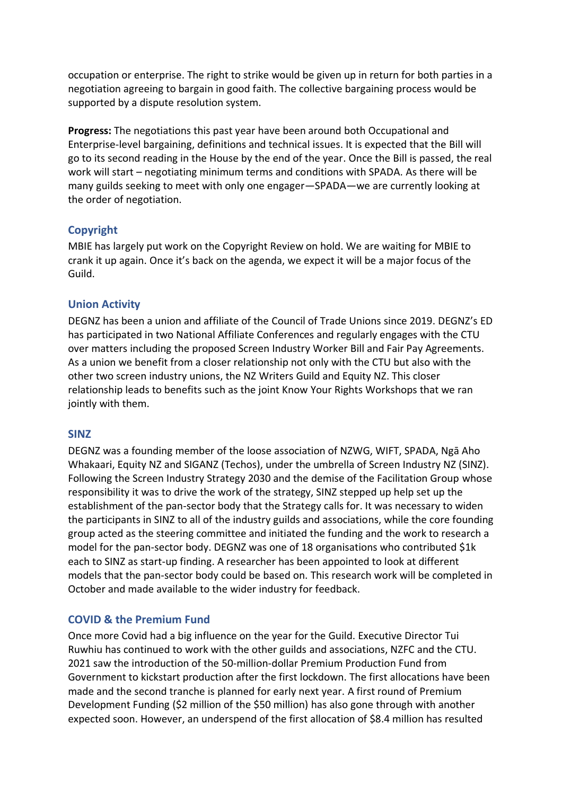occupation or enterprise. The right to strike would be given up in return for both parties in a negotiation agreeing to bargain in good faith. The collective bargaining process would be supported by a dispute resolution system.

**Progress:** The negotiations this past year have been around both Occupational and Enterprise-level bargaining, definitions and technical issues. It is expected that the Bill will go to its second reading in the House by the end of the year. Once the Bill is passed, the real work will start – negotiating minimum terms and conditions with SPADA. As there will be many guilds seeking to meet with only one engager—SPADA—we are currently looking at the order of negotiation.

# **Copyright**

MBIE has largely put work on the Copyright Review on hold. We are waiting for MBIE to crank it up again. Once it's back on the agenda, we expect it will be a major focus of the Guild.

#### **Union Activity**

DEGNZ has been a union and affiliate of the Council of Trade Unions since 2019. DEGNZ's ED has participated in two National Affiliate Conferences and regularly engages with the CTU over matters including the proposed Screen Industry Worker Bill and Fair Pay Agreements. As a union we benefit from a closer relationship not only with the CTU but also with the other two screen industry unions, the NZ Writers Guild and Equity NZ. This closer relationship leads to benefits such as the joint Know Your Rights Workshops that we ran jointly with them.

#### **SINZ**

DEGNZ was a founding member of the loose association of NZWG, WIFT, SPADA, Ngā Aho Whakaari, Equity NZ and SIGANZ (Techos), under the umbrella of Screen Industry NZ (SINZ). Following the Screen Industry Strategy 2030 and the demise of the Facilitation Group whose responsibility it was to drive the work of the strategy, SINZ stepped up help set up the establishment of the pan-sector body that the Strategy calls for. It was necessary to widen the participants in SINZ to all of the industry guilds and associations, while the core founding group acted as the steering committee and initiated the funding and the work to research a model for the pan-sector body. DEGNZ was one of 18 organisations who contributed \$1k each to SINZ as start-up finding. A researcher has been appointed to look at different models that the pan-sector body could be based on. This research work will be completed in October and made available to the wider industry for feedback.

#### **COVID & the Premium Fund**

Once more Covid had a big influence on the year for the Guild. Executive Director Tui Ruwhiu has continued to work with the other guilds and associations, NZFC and the CTU. 2021 saw the introduction of the 50-million-dollar Premium Production Fund from Government to kickstart production after the first lockdown. The first allocations have been made and the second tranche is planned for early next year. A first round of Premium Development Funding (\$2 million of the \$50 million) has also gone through with another expected soon. However, an underspend of the first allocation of \$8.4 million has resulted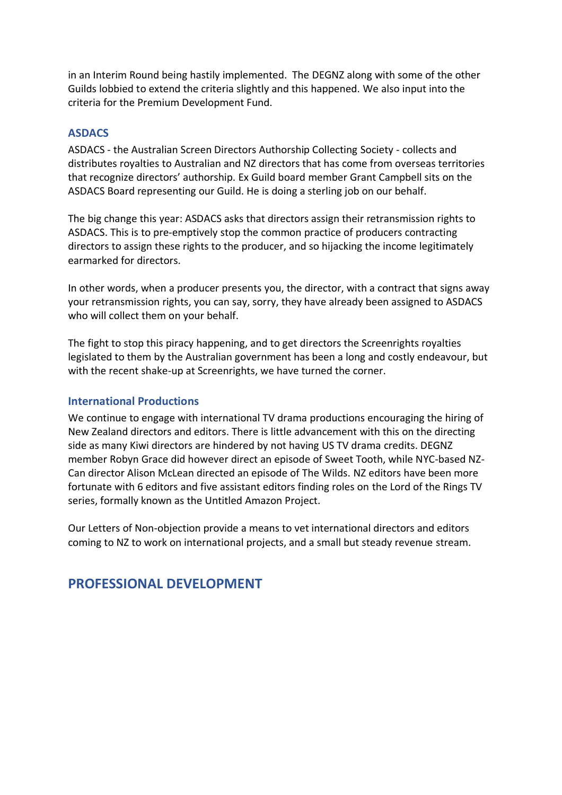in an Interim Round being hastily implemented. The DEGNZ along with some of the other Guilds lobbied to extend the criteria slightly and this happened. We also input into the criteria for the Premium Development Fund.

#### **ASDACS**

ASDACS - the Australian Screen Directors Authorship Collecting Society - collects and distributes royalties to Australian and NZ directors that has come from overseas territories that recognize directors' authorship. Ex Guild board member Grant Campbell sits on the ASDACS Board representing our Guild. He is doing a sterling job on our behalf.

The big change this year: ASDACS asks that directors assign their retransmission rights to ASDACS. This is to pre-emptively stop the common practice of producers contracting directors to assign these rights to the producer, and so hijacking the income legitimately earmarked for directors.

In other words, when a producer presents you, the director, with a contract that signs away your retransmission rights, you can say, sorry, they have already been assigned to ASDACS who will collect them on your behalf.

The fight to stop this piracy happening, and to get directors the Screenrights royalties legislated to them by the Australian government has been a long and costly endeavour, but with the recent shake-up at Screenrights, we have turned the corner.

#### **International Productions**

We continue to engage with international TV drama productions encouraging the hiring of New Zealand directors and editors. There is little advancement with this on the directing side as many Kiwi directors are hindered by not having US TV drama credits. DEGNZ member Robyn Grace did however direct an episode of Sweet Tooth, while NYC-based NZ-Can director Alison McLean directed an episode of The Wilds. NZ editors have been more fortunate with 6 editors and five assistant editors finding roles on the Lord of the Rings TV series, formally known as the Untitled Amazon Project.

Our Letters of Non-objection provide a means to vet international directors and editors coming to NZ to work on international projects, and a small but steady revenue stream.

# **PROFESSIONAL DEVELOPMENT**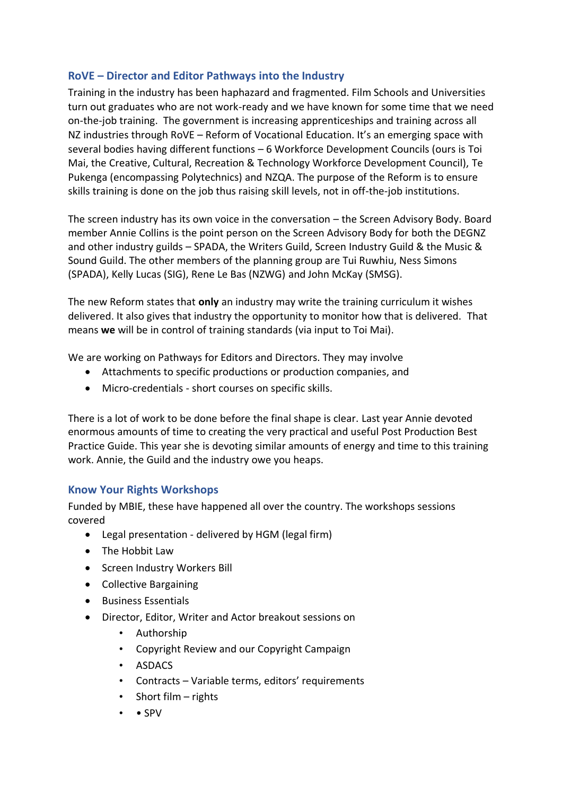# **RoVE – Director and Editor Pathways into the Industry**

Training in the industry has been haphazard and fragmented. Film Schools and Universities turn out graduates who are not work-ready and we have known for some time that we need on-the-job training. The government is increasing apprenticeships and training across all NZ industries through RoVE – Reform of Vocational Education. It's an emerging space with several bodies having different functions – 6 Workforce Development Councils (ours is Toi Mai, the Creative, Cultural, Recreation & Technology Workforce Development Council), Te Pukenga (encompassing Polytechnics) and NZQA. The purpose of the Reform is to ensure skills training is done on the job thus raising skill levels, not in off-the-job institutions.

The screen industry has its own voice in the conversation – the Screen Advisory Body. Board member Annie Collins is the point person on the Screen Advisory Body for both the DEGNZ and other industry guilds – SPADA, the Writers Guild, Screen Industry Guild & the Music & Sound Guild. The other members of the planning group are Tui Ruwhiu, Ness Simons (SPADA), Kelly Lucas (SIG), Rene Le Bas (NZWG) and John McKay (SMSG).

The new Reform states that **only** an industry may write the training curriculum it wishes delivered. It also gives that industry the opportunity to monitor how that is delivered. That means **we** will be in control of training standards (via input to Toi Mai).

We are working on Pathways for Editors and Directors. They may involve

- Attachments to specific productions or production companies, and
- Micro-credentials short courses on specific skills.

There is a lot of work to be done before the final shape is clear. Last year Annie devoted enormous amounts of time to creating the very practical and useful Post Production Best Practice Guide. This year she is devoting similar amounts of energy and time to this training work. Annie, the Guild and the industry owe you heaps.

#### **Know Your Rights Workshops**

Funded by MBIE, these have happened all over the country. The workshops sessions covered

- Legal presentation delivered by HGM (legal firm)
- The Hobbit Law
- Screen Industry Workers Bill
- Collective Bargaining
- Business Essentials
- Director, Editor, Writer and Actor breakout sessions on
	- Authorship
	- Copyright Review and our Copyright Campaign
	- ASDACS
	- Contracts Variable terms, editors' requirements
	- Short film rights
	- • SPV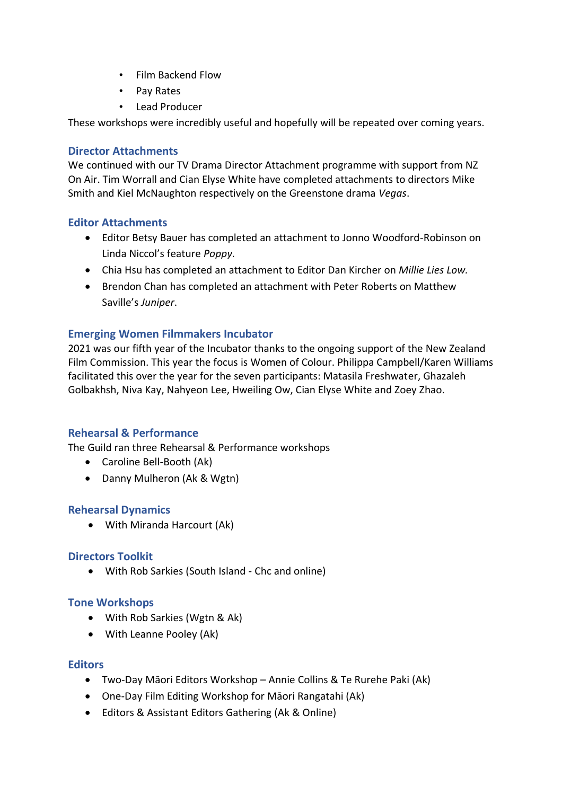- Film Backend Flow
- Pay Rates
- Lead Producer

These workshops were incredibly useful and hopefully will be repeated over coming years.

#### **Director Attachments**

We continued with our TV Drama Director Attachment programme with support from NZ On Air. Tim Worrall and Cian Elyse White have completed attachments to directors Mike Smith and Kiel McNaughton respectively on the Greenstone drama *Vegas*.

#### **Editor Attachments**

- Editor Betsy Bauer has completed an attachment to Jonno Woodford-Robinson on Linda Niccol's feature *Poppy.*
- Chia Hsu has completed an attachment to Editor Dan Kircher on *Millie Lies Low.*
- Brendon Chan has completed an attachment with Peter Roberts on Matthew Saville's *Juniper*.

#### **Emerging Women Filmmakers Incubator**

2021 was our fifth year of the Incubator thanks to the ongoing support of the New Zealand Film Commission. This year the focus is Women of Colour. Philippa Campbell/Karen Williams facilitated this over the year for the seven participants: Matasila Freshwater, Ghazaleh Golbakhsh, Niva Kay, Nahyeon Lee, Hweiling Ow, Cian Elyse White and Zoey Zhao.

#### **Rehearsal & Performance**

The Guild ran three Rehearsal & Performance workshops

- Caroline Bell-Booth (Ak)
- Danny Mulheron (Ak & Wgtn)

#### **Rehearsal Dynamics**

• With Miranda Harcourt (Ak)

#### **Directors Toolkit**

• With Rob Sarkies (South Island - Chc and online)

#### **Tone Workshops**

- With Rob Sarkies (Wgtn & Ak)
- With Leanne Pooley (Ak)

#### **Editors**

- Two-Day Māori Editors Workshop Annie Collins & Te Rurehe Paki (Ak)
- One-Day Film Editing Workshop for Māori Rangatahi (Ak)
- Editors & Assistant Editors Gathering (Ak & Online)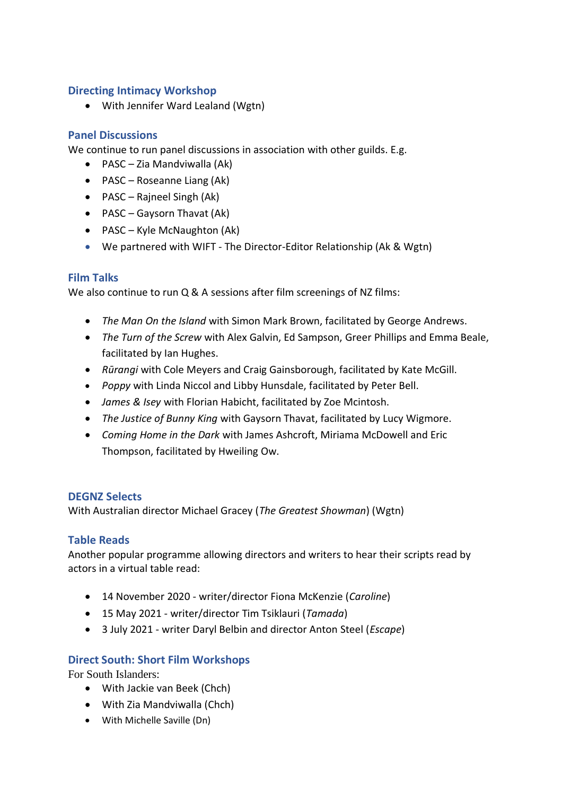#### **Directing Intimacy Workshop**

• With Jennifer Ward Lealand (Wgtn)

# **Panel Discussions**

We continue to run panel discussions in association with other guilds. E.g.

- PASC Zia Mandviwalla (Ak)
- PASC Roseanne Liang (Ak)
- PASC Rajneel Singh (Ak)
- PASC Gaysorn Thavat (Ak)
- PASC Kyle McNaughton (Ak)
- We partnered with WIFT The Director-Editor Relationship (Ak & Wgtn)

# **Film Talks**

We also continue to run Q & A sessions after film screenings of NZ films:

- *The Man On the Island* with Simon Mark Brown, facilitated by George Andrews.
- *The Turn of the Screw* with Alex Galvin, Ed Sampson, Greer Phillips and Emma Beale, facilitated by Ian Hughes.
- *Rūrangi* with Cole Meyers and Craig Gainsborough, facilitated by Kate McGill.
- *Poppy* with Linda Niccol and Libby Hunsdale, facilitated by Peter Bell.
- *James & Isey* with Florian Habicht, facilitated by Zoe Mcintosh.
- *The Justice of Bunny King* with Gaysorn Thavat, facilitated by Lucy Wigmore.
- *Coming Home in the Dark* with James Ashcroft, Miriama McDowell and Eric Thompson, facilitated by Hweiling Ow.

#### **DEGNZ Selects**

With Australian director Michael Gracey (*The Greatest Showman*) (Wgtn)

#### **Table Reads**

Another popular programme allowing directors and writers to hear their scripts read by actors in a virtual table read:

- 14 November 2020 writer/director Fiona McKenzie (*Caroline*)
- 15 May 2021 writer/director Tim Tsiklauri (*Tamada*)
- 3 July 2021 writer Daryl Belbin and director Anton Steel (*Escape*)

# **Direct South: Short Film Workshops**

For South Islanders:

- With Jackie van Beek (Chch)
- With Zia Mandviwalla (Chch)
- With Michelle Saville (Dn)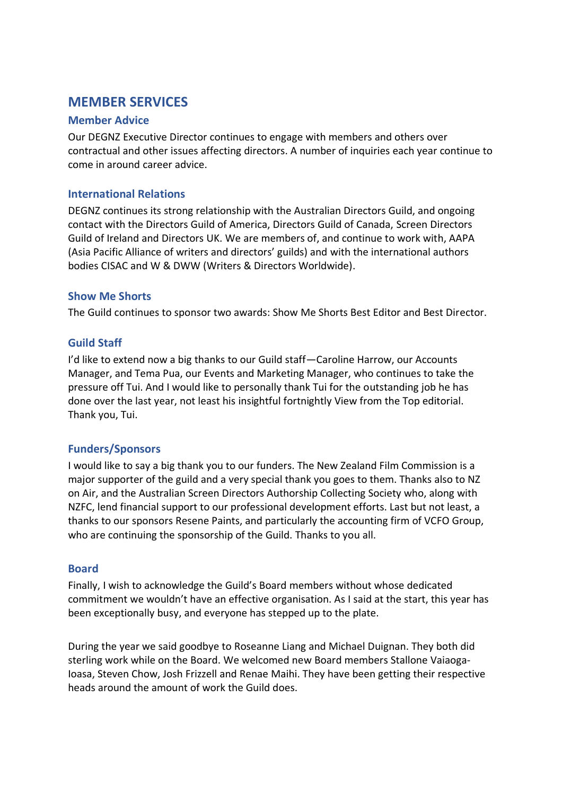# **MEMBER SERVICES**

#### **Member Advice**

Our DEGNZ Executive Director continues to engage with members and others over contractual and other issues affecting directors. A number of inquiries each year continue to come in around career advice.

#### **International Relations**

DEGNZ continues its strong relationship with the Australian Directors Guild, and ongoing contact with the Directors Guild of America, Directors Guild of Canada, Screen Directors Guild of Ireland and Directors UK. We are members of, and continue to work with, AAPA (Asia Pacific Alliance of writers and directors' guilds) and with the international authors bodies CISAC and W & DWW (Writers & Directors Worldwide).

#### **Show Me Shorts**

The Guild continues to sponsor two awards: Show Me Shorts Best Editor and Best Director.

#### **Guild Staff**

I'd like to extend now a big thanks to our Guild staff—Caroline Harrow, our Accounts Manager, and Tema Pua, our Events and Marketing Manager, who continues to take the pressure off Tui. And I would like to personally thank Tui for the outstanding job he has done over the last year, not least his insightful fortnightly View from the Top editorial. Thank you, Tui.

#### **Funders/Sponsors**

I would like to say a big thank you to our funders. The New Zealand Film Commission is a major supporter of the guild and a very special thank you goes to them. Thanks also to NZ on Air, and the Australian Screen Directors Authorship Collecting Society who, along with NZFC, lend financial support to our professional development efforts. Last but not least, a thanks to our sponsors Resene Paints, and particularly the accounting firm of VCFO Group, who are continuing the sponsorship of the Guild. Thanks to you all.

#### **Board**

Finally, I wish to acknowledge the Guild's Board members without whose dedicated commitment we wouldn't have an effective organisation. As I said at the start, this year has been exceptionally busy, and everyone has stepped up to the plate.

During the year we said goodbye to Roseanne Liang and Michael Duignan. They both did sterling work while on the Board. We welcomed new Board members Stallone Vaiaoga-Ioasa, Steven Chow, Josh Frizzell and Renae Maihi. They have been getting their respective heads around the amount of work the Guild does.